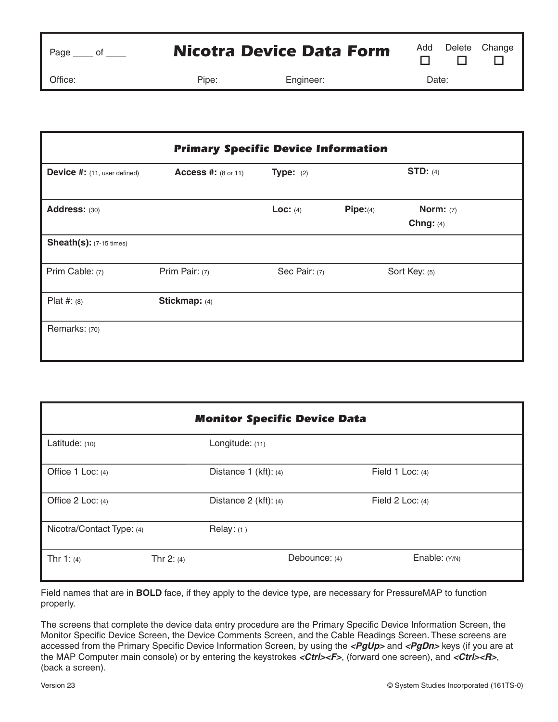| Page |  |
|------|--|
|      |  |

Office: Pipe: Engineer: Date:

| <b>Primary Specific Device Information</b> |                            |               |               |                                 |  |
|--------------------------------------------|----------------------------|---------------|---------------|---------------------------------|--|
| Device #: (11, user defined)               | <b>Access #:</b> (8 or 11) | Type: $(2)$   |               | STD: $(4)$                      |  |
| Address: (30)                              |                            | Loc: $(4)$    | Pipe: (4)     | <b>Norm:</b> (7)<br>Chng: $(4)$ |  |
| <b>Sheath(s): (7-15 times)</b>             |                            |               |               |                                 |  |
| Prim Cable: (7)                            | Prim Pair: (7)             | Sec Pair: (7) | Sort Key: (5) |                                 |  |
| Plat #: $(8)$                              | Stickmap: (4)              |               |               |                                 |  |
| Remarks: (70)                              |                            |               |               |                                 |  |

| <b>Monitor Specific Device Data</b> |              |                           |               |                    |  |  |
|-------------------------------------|--------------|---------------------------|---------------|--------------------|--|--|
| Latitude: (10)                      |              | Longitude: (11)           |               |                    |  |  |
| Office 1 Loc: (4)                   |              | Distance $1$ (kft): (4)   |               | Field 1 Loc: $(4)$ |  |  |
| Office 2 Loc: (4)                   |              | Distance $2$ (kft): $(4)$ |               | Field 2 Loc: $(4)$ |  |  |
| Nicotra/Contact Type: (4)           |              | Relay: (1)                |               |                    |  |  |
| Thr $1: (4)$                        | Thr $2: (4)$ |                           | Debounce: (4) | Enable: (Y/N)      |  |  |

Field names that are in **BOLD** face, if they apply to the device type, are necessary for PressureMAP to function properly.

The screens that complete the device data entry procedure are the Primary Specific Device Information Screen, the Monitor Specific Device Screen, the Device Comments Screen, and the Cable Readings Screen. These screens are accessed from the Primary Specific Device Information Screen, by using the **<PgUp>** and **<PgDn>** keys (if you are at the MAP Computer main console) or by entering the keystrokes <Ctrl><F>, (forward one screen), and <Ctrl><R>, (back a screen).